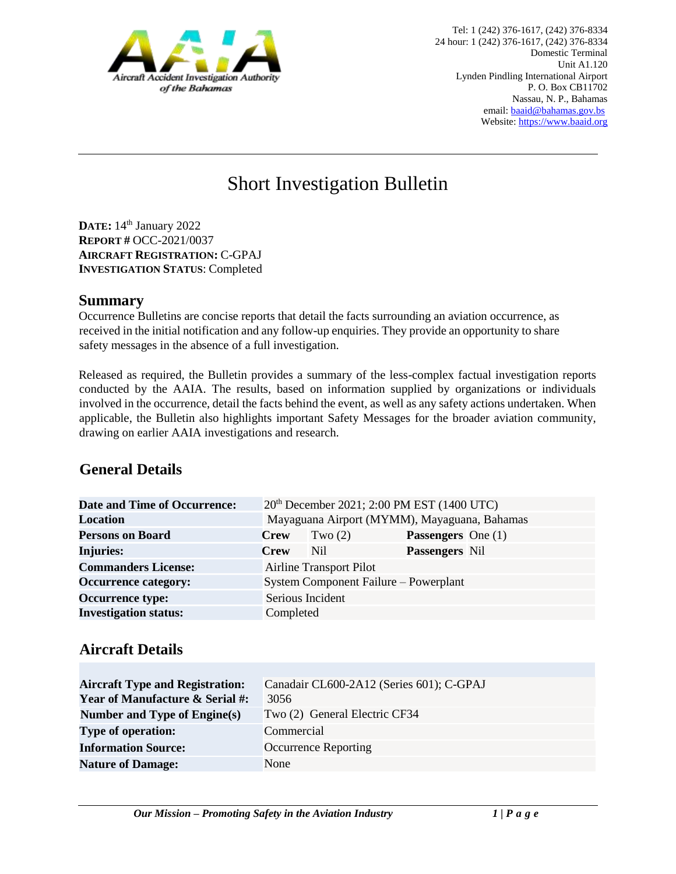

# Short Investigation Bulletin

**DATE:** 14th January 2022 **REPORT #** OCC-2021/0037 **AIRCRAFT REGISTRATION:** C-GPAJ **INVESTIGATION STATUS**: Completed

#### **Summary**

Occurrence Bulletins are concise reports that detail the facts surrounding an aviation occurrence, as received in the initial notification and any follow-up enquiries. They provide an opportunity to share safety messages in the absence of a full investigation*.* 

Released as required, the Bulletin provides a summary of the less-complex factual investigation reports conducted by the AAIA. The results, based on information supplied by organizations or individuals involved in the occurrence, detail the facts behind the event, as well as any safety actions undertaken. When applicable, the Bulletin also highlights important Safety Messages for the broader aviation community, drawing on earlier AAIA investigations and research.

# **General Details**

| <b>Date and Time of Occurrence:</b> | 20 <sup>th</sup> December 2021; 2:00 PM EST (1400 UTC) |                                       |                           |  |
|-------------------------------------|--------------------------------------------------------|---------------------------------------|---------------------------|--|
| <b>Location</b>                     | Mayaguana Airport (MYMM), Mayaguana, Bahamas           |                                       |                           |  |
| <b>Persons on Board</b>             | <b>Crew</b>                                            | Two $(2)$                             | <b>Passengers</b> One (1) |  |
| <b>Injuries:</b>                    | <b>Crew</b>                                            | Nil                                   | <b>Passengers</b> Nil     |  |
| <b>Commanders License:</b>          |                                                        | <b>Airline Transport Pilot</b>        |                           |  |
| <b>Occurrence category:</b>         |                                                        | System Component Failure – Powerplant |                           |  |
| <b>Occurrence type:</b>             | Serious Incident                                       |                                       |                           |  |
| <b>Investigation status:</b>        | Completed                                              |                                       |                           |  |

### **Aircraft Details**

| <b>Aircraft Type and Registration:</b><br><b>Year of Manufacture &amp; Serial #:</b> | Canadair CL600-2A12 (Series 601); C-GPAJ<br>3056 |
|--------------------------------------------------------------------------------------|--------------------------------------------------|
| Number and Type of Engine(s)                                                         | Two (2) General Electric CF34                    |
| <b>Type of operation:</b>                                                            | Commercial                                       |
| <b>Information Source:</b>                                                           | Occurrence Reporting                             |
| <b>Nature of Damage:</b>                                                             | None                                             |